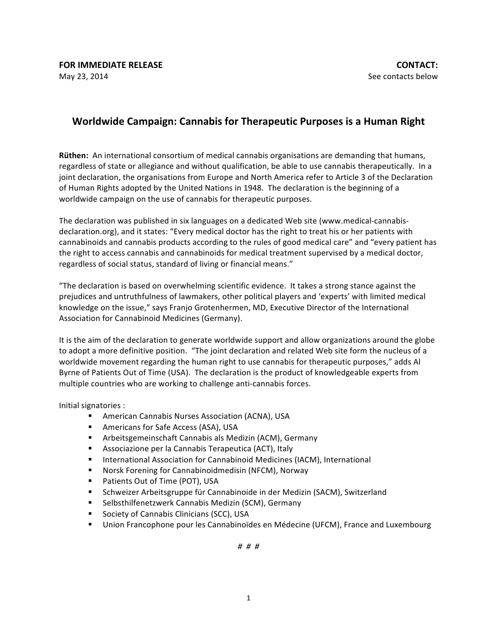## **Worldwide Campaign: Cannabis for Therapeutic Purposes is a Human Right**

**Rüthen:** An international consortium of medical cannabis organisations are demanding that humans, regardless of state or allegiance and without qualification, be able to use cannabis therapeutically. In a joint declaration, the organisations from Europe and North America refer to Article 3 of the Declaration of Human Rights adopted by the United Nations in 1948. The declaration is the beginning of a worldwide campaign on the use of cannabis for therapeutic purposes.

The declaration was published in six languages on a dedicated Web site (www.medical-cannabisdeclaration.org), and it states: "Every medical doctor has the right to treat his or her patients with cannabinoids and cannabis products according to the rules of good medical care" and "every patient has the right to access cannabis and cannabinoids for medical treatment supervised by a medical doctor, regardless of social status, standard of living or financial means."

"The declaration is based on overwhelming scientific evidence. It takes a strong stance against the prejudices and untruthfulness of lawmakers, other political players and 'experts' with limited medical knowledge on the issue," says Franjo Grotenhermen, MD, Executive Director of the International Association for Cannabinoid Medicines (Germany).

It is the aim of the declaration to generate worldwide support and allow organizations around the globe to adopt a more definitive position. "The joint declaration and related Web site form the nucleus of a worldwide movement regarding the human right to use cannabis for therapeutic purposes," adds Al Byrne of Patients Out of Time (USA). The declaration is the product of knowledgeable experts from multiple countries who are working to challenge anti-cannabis forces.

Initial signatories :

- American Cannabis Nurses Association (ACNA), USA
- Americans for Safe Access (ASA), USA
- Arbeitsgemeinschaft Cannabis als Medizin (ACM), Germany
- Associazione per la Cannabis Terapeutica (ACT), Italy
- International Association for Cannabinoid Medicines (IACM), International
- Norsk Forening for Cannabinoidmedisin (NFCM), Norway
- Patients Out of Time (POT), USA
- Schweizer Arbeitsgruppe für Cannabinoide in der Medizin (SACM), Switzerland
- Selbsthilfenetzwerk Cannabis Medizin (SCM), Germany
- Society of Cannabis Clinicians (SCC), USA
- Union Francophone pour les Cannabinoïdes en Médecine (UFCM), France and Luxembourg

*# # #*